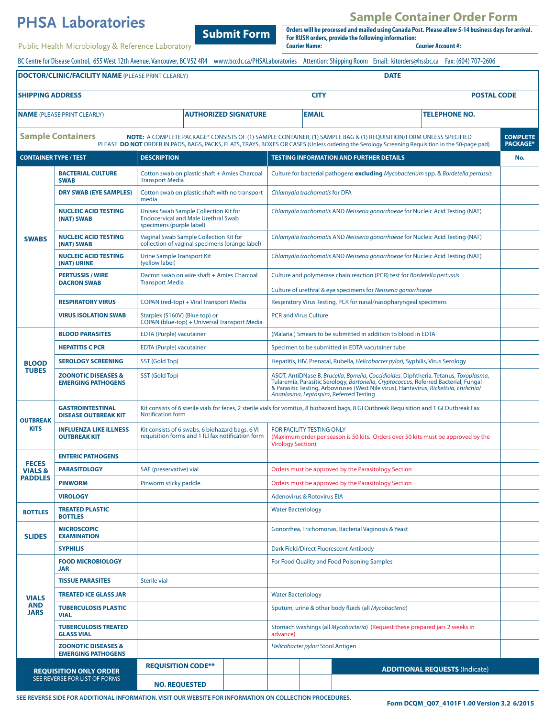|                                                      | <b>PHSA Laboratories</b>                                    |                                                                                                                                                                                                                                                                       | <b>Sample Container Order Form</b><br>Orders will be processed and mailed using Canada Post. Please allow 5-14 business days for arrival.                                                                                                                                                                         |                                                                                                                                                                                 |                                    |
|------------------------------------------------------|-------------------------------------------------------------|-----------------------------------------------------------------------------------------------------------------------------------------------------------------------------------------------------------------------------------------------------------------------|-------------------------------------------------------------------------------------------------------------------------------------------------------------------------------------------------------------------------------------------------------------------------------------------------------------------|---------------------------------------------------------------------------------------------------------------------------------------------------------------------------------|------------------------------------|
|                                                      | Public Health Microbiology & Reference Laboratory           | <b>Submit Form</b>                                                                                                                                                                                                                                                    | For RUSH orders, provide the following information:<br><b>Courier Name:</b>                                                                                                                                                                                                                                       | <b>Courier Account #:</b>                                                                                                                                                       |                                    |
|                                                      |                                                             |                                                                                                                                                                                                                                                                       |                                                                                                                                                                                                                                                                                                                   | BC Centre for Disease Control, 655 West 12th Avenue, Vancouver, BC V5Z 4R4 www.bccdc.ca/PHSALaboratories Attention: Shipping Room Email: kitorders@hssbc.ca Fax: (604) 707-2606 |                                    |
|                                                      | <b>DOCTOR/CLINIC/FACILITY NAME (PLEASE PRINT CLEARLY)</b>   |                                                                                                                                                                                                                                                                       |                                                                                                                                                                                                                                                                                                                   | <b>DATE</b>                                                                                                                                                                     |                                    |
|                                                      |                                                             |                                                                                                                                                                                                                                                                       |                                                                                                                                                                                                                                                                                                                   |                                                                                                                                                                                 |                                    |
| <b>SHIPPING ADDRESS</b>                              |                                                             |                                                                                                                                                                                                                                                                       |                                                                                                                                                                                                                                                                                                                   | <b>CITY</b><br><b>POSTAL CODE</b>                                                                                                                                               |                                    |
|                                                      | <b>NAME</b> (PLEASE PRINT CLEARLY)                          | <b>AUTHORIZED SIGNATURE</b>                                                                                                                                                                                                                                           | <b>EMAIL</b>                                                                                                                                                                                                                                                                                                      | <b>TELEPHONE NO.</b>                                                                                                                                                            |                                    |
|                                                      | <b>Sample Containers</b>                                    | NOTE: A COMPLETE PACKAGE* CONSISTS OF (1) SAMPLE CONTAINER, (1) SAMPLE BAG & (1) REQUISITION/FORM UNLESS SPECIFIED<br>PLEASE DO NOT ORDER IN PADS, BAGS, PACKS, FLATS, TRAYS, BOXES OR CASES (Unless ordering the Serology Screening Requisition in the 50-page pad). |                                                                                                                                                                                                                                                                                                                   |                                                                                                                                                                                 | <b>COMPLETE</b><br><b>PACKAGE*</b> |
| <b>CONTAINER TYPE / TEST</b>                         |                                                             | <b>DESCRIPTION</b>                                                                                                                                                                                                                                                    | <b>TESTING INFORMATION AND FURTHER DETAILS</b>                                                                                                                                                                                                                                                                    |                                                                                                                                                                                 | No.                                |
| <b>SWABS</b>                                         | <b>BACTERIAL CULTURE</b><br><b>SWAB</b>                     | Cotton swab on plastic shaft + Amies Charcoal<br><b>Transport Media</b>                                                                                                                                                                                               | Culture for bacterial pathogens excluding Mycobacterium spp. & Bordetella pertussis                                                                                                                                                                                                                               |                                                                                                                                                                                 |                                    |
|                                                      | <b>DRY SWAB (EYE SAMPLES)</b>                               | Cotton swab on plastic shaft with no transport<br>media                                                                                                                                                                                                               | Chlamydia trachomatis for DFA                                                                                                                                                                                                                                                                                     |                                                                                                                                                                                 |                                    |
|                                                      | <b>NUCLEIC ACID TESTING</b><br>(NAT) SWAB                   | Unisex Swab Sample Collection Kit for<br><b>Endocervical and Male Urethral Swab</b><br>specimens (purple label)                                                                                                                                                       | Chlamydia trachomatis AND Neisseria gonorrhoeae for Nucleic Acid Testing (NAT)                                                                                                                                                                                                                                    |                                                                                                                                                                                 |                                    |
|                                                      | <b>NUCLEIC ACID TESTING</b><br>(NAT) SWAB                   | <b>Vaginal Swab Sample Collection Kit for</b><br>collection of vaginal specimens (orange label)                                                                                                                                                                       | Chlamydia trachomatis AND Neisseria gonorrhoeae for Nucleic Acid Testing (NAT)                                                                                                                                                                                                                                    |                                                                                                                                                                                 |                                    |
|                                                      | <b>NUCLEIC ACID TESTING</b><br>(NAT) URINE                  | <b>Urine Sample Transport Kit</b><br>(yellow label)                                                                                                                                                                                                                   | Chlamydia trachomatis AND Neisseria gonorrhoeae for Nucleic Acid Testing (NAT)                                                                                                                                                                                                                                    |                                                                                                                                                                                 |                                    |
|                                                      | <b>PERTUSSIS / WIRE</b><br><b>DACRON SWAB</b>               | Dacron swab on wire shaft + Amies Charcoal<br><b>Transport Media</b>                                                                                                                                                                                                  | Culture and polymerase chain reaction (PCR) test for Bordetella pertussis                                                                                                                                                                                                                                         |                                                                                                                                                                                 |                                    |
|                                                      | <b>RESPIRATORY VIRUS</b>                                    | COPAN (red-top) + Viral Transport Media                                                                                                                                                                                                                               | Culture of urethral & eye specimens for Neisseria gonorrhoeae<br>Respiratory Virus Testing, PCR for nasal/nasopharyngeal specimens                                                                                                                                                                                |                                                                                                                                                                                 |                                    |
|                                                      | <b>VIRUS ISOLATION SWAB</b>                                 | Starplex (S160V) (Blue top) or                                                                                                                                                                                                                                        | <b>PCR and Virus Culture</b>                                                                                                                                                                                                                                                                                      |                                                                                                                                                                                 |                                    |
|                                                      |                                                             | COPAN (blue-top) + Universal Transport Media                                                                                                                                                                                                                          |                                                                                                                                                                                                                                                                                                                   |                                                                                                                                                                                 |                                    |
|                                                      | <b>BLOOD PARASITES</b>                                      | <b>EDTA (Purple) vacutainer</b>                                                                                                                                                                                                                                       | (Malaria) Smears to be submitted in addition to blood in EDTA                                                                                                                                                                                                                                                     |                                                                                                                                                                                 |                                    |
|                                                      | <b>HEPATITIS C PCR</b>                                      | <b>EDTA (Purple) vacutainer</b>                                                                                                                                                                                                                                       | Specimen to be submitted in EDTA vacutainer tube                                                                                                                                                                                                                                                                  |                                                                                                                                                                                 |                                    |
| <b>BLOOD</b>                                         | <b>SEROLOGY SCREENING</b>                                   | SST (Gold Top)                                                                                                                                                                                                                                                        |                                                                                                                                                                                                                                                                                                                   | Hepatitis, HIV, Prenatal, Rubella, Helicobacter pylori, Syphilis, Virus Serology                                                                                                |                                    |
| <b>TUBES</b>                                         | <b>ZOONOTIC DISEASES &amp;</b><br><b>EMERGING PATHOGENS</b> | SST (Gold Top)                                                                                                                                                                                                                                                        | ASOT, AntiDNase B, Brucella, Borrelia, Coccidioides, Diphtheria, Tetanus, Toxoplasma,<br>Tularemia, Parasitic Serology, Bartonella, Cryptococcus, Referred Bacterial, Fungal<br>& Parasitic Testing, Arboviruses (West Nile virus), Hantavirus, Rickettsia, Ehrlichia/<br>Anaplasma, Leptospira, Referred Testing |                                                                                                                                                                                 |                                    |
| <b>OUTBREAK</b><br><b>KITS</b>                       | <b>GASTROINTESTINAL</b><br><b>DISEASE OUTBREAK KIT</b>      | Kit consists of 6 sterile vials for feces, 2 sterile vials for vomitus, 8 biohazard bags, 8 GI Outbreak Requisition and 1 GI Outbreak Fax<br>Notification form                                                                                                        |                                                                                                                                                                                                                                                                                                                   |                                                                                                                                                                                 |                                    |
|                                                      | <b>INFLUENZA LIKE ILLNESS</b><br><b>OUTBREAK KIT</b>        | Kit consists of 6 swabs, 6 biohazard bags, 6 VI<br>requisition forms and 1 ILI fax notification form                                                                                                                                                                  | FOR FACILITY TESTING ONLY<br>Virology Section).                                                                                                                                                                                                                                                                   | (Maximum order per season is 50 kits. Orders over 50 kits must be approved by the                                                                                               |                                    |
| <b>FECES</b><br><b>VIALS &amp;</b><br><b>PADDLES</b> | <b>ENTERIC PATHOGENS</b>                                    |                                                                                                                                                                                                                                                                       |                                                                                                                                                                                                                                                                                                                   |                                                                                                                                                                                 |                                    |
|                                                      | <b>PARASITOLOGY</b>                                         | SAF (preservative) vial                                                                                                                                                                                                                                               | Orders must be approved by the Parasitology Section                                                                                                                                                                                                                                                               |                                                                                                                                                                                 |                                    |
|                                                      | <b>PINWORM</b>                                              | Pinworm sticky paddle                                                                                                                                                                                                                                                 | Orders must be approved by the Parasitology Section                                                                                                                                                                                                                                                               |                                                                                                                                                                                 |                                    |
|                                                      | <b>VIROLOGY</b>                                             |                                                                                                                                                                                                                                                                       | <b>Adenovirus &amp; Rotovirus EIA</b>                                                                                                                                                                                                                                                                             |                                                                                                                                                                                 |                                    |
| <b>BOTTLES</b>                                       | <b>TREATED PLASTIC</b><br><b>BOTTLES</b>                    |                                                                                                                                                                                                                                                                       | <b>Water Bacteriology</b>                                                                                                                                                                                                                                                                                         |                                                                                                                                                                                 |                                    |
| <b>SLIDES</b>                                        | <b>MICROSCOPIC</b><br><b>EXAMINATION</b>                    |                                                                                                                                                                                                                                                                       | Gonorrhea, Trichomonas, Bacterial Vaginosis & Yeast                                                                                                                                                                                                                                                               |                                                                                                                                                                                 |                                    |
|                                                      | <b>SYPHILIS</b>                                             |                                                                                                                                                                                                                                                                       | Dark Field/Direct Fluorescent Antibody                                                                                                                                                                                                                                                                            |                                                                                                                                                                                 |                                    |
| <b>VIALS</b>                                         | <b>FOOD MICROBIOLOGY</b><br>JAR                             |                                                                                                                                                                                                                                                                       | For Food Quality and Food Poisoning Samples                                                                                                                                                                                                                                                                       |                                                                                                                                                                                 |                                    |
|                                                      | <b>TISSUE PARASITES</b>                                     | Sterile vial                                                                                                                                                                                                                                                          |                                                                                                                                                                                                                                                                                                                   |                                                                                                                                                                                 |                                    |
|                                                      | <b>TREATED ICE GLASS JAR</b>                                |                                                                                                                                                                                                                                                                       | <b>Water Bacteriology</b>                                                                                                                                                                                                                                                                                         |                                                                                                                                                                                 |                                    |
| <b>AND</b><br><b>JARS</b>                            | <b>TUBERCULOSIS PLASTIC</b><br><b>VIAL</b>                  |                                                                                                                                                                                                                                                                       | Sputum, urine & other body fluids (all Mycobacteria)                                                                                                                                                                                                                                                              |                                                                                                                                                                                 |                                    |
|                                                      | <b>TUBERCULOSIS TREATED</b>                                 |                                                                                                                                                                                                                                                                       |                                                                                                                                                                                                                                                                                                                   | Stomach washings (all Mycobacteria) (Request these prepared jars 2 weeks in                                                                                                     |                                    |

advance)

*Helicobacter pylori* Stool Antigen

**REQUISITION CODE\*\* ADDITIONAL REQUESTS** (Indicate)

**ZOONOTIC DISEASES & EMERGING PATHOGENS**

**GLASS VIAL**

**REQUISITION ONLY ORDER** SEE REVERSE FOR LIST OF FORMS